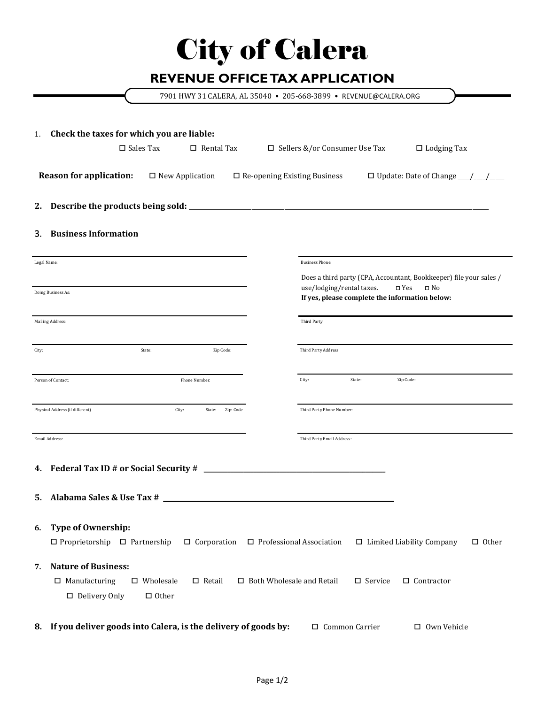## City of Calera

## **REVENUE OFFICE TAX APPLICATION**

7901 HWY 31 CALERA, AL 35040 • 205-668-3899 • REVENUE@CALERA.ORG

| 1.             | Check the taxes for which you are liable:                                                                                                                                                                           |                                     |                                 |        |                                                                                                                                                       |  |  |  |
|----------------|---------------------------------------------------------------------------------------------------------------------------------------------------------------------------------------------------------------------|-------------------------------------|---------------------------------|--------|-------------------------------------------------------------------------------------------------------------------------------------------------------|--|--|--|
|                | $\square$ Sales Tax<br>$\Box$ Rental Tax                                                                                                                                                                            |                                     | □ Sellers &/or Consumer Use Tax |        | $\Box$ Lodging Tax                                                                                                                                    |  |  |  |
|                | <b>Reason for application:</b><br>$\square$ New Application                                                                                                                                                         | $\Box$ Re-opening Existing Business |                                 |        | $\Box$ Update: Date of Change $\_\_\_\_\_\_\_\_\_\_\_\_\_\_\_\_\_\_$                                                                                  |  |  |  |
| 2.             |                                                                                                                                                                                                                     |                                     |                                 |        |                                                                                                                                                       |  |  |  |
| 3.             | <b>Business Information</b>                                                                                                                                                                                         |                                     |                                 |        |                                                                                                                                                       |  |  |  |
| Legal Name:    |                                                                                                                                                                                                                     |                                     | <b>Business Phone:</b>          |        |                                                                                                                                                       |  |  |  |
|                | Doing Business As:                                                                                                                                                                                                  |                                     | use/lodging/rental taxes.       |        | Does a third party (CPA, Accountant, Bookkeeper) file your sales /<br>$\square$ Yes<br>$\square$ No<br>If yes, please complete the information below: |  |  |  |
|                | Mailing Address:                                                                                                                                                                                                    |                                     | Third Party                     |        |                                                                                                                                                       |  |  |  |
| City:          | Zip Code:<br>State:                                                                                                                                                                                                 |                                     | Third Party Address             |        |                                                                                                                                                       |  |  |  |
|                | Person of Contact:<br>Phone Number:                                                                                                                                                                                 |                                     | City:                           | State: | Zip Code:                                                                                                                                             |  |  |  |
|                | Physical Address (if different)<br>City:<br>State: Zip: Code                                                                                                                                                        |                                     | Third Party Phone Number:       |        |                                                                                                                                                       |  |  |  |
| Email Address: |                                                                                                                                                                                                                     |                                     | Third Party Email Address:      |        |                                                                                                                                                       |  |  |  |
|                |                                                                                                                                                                                                                     |                                     |                                 |        |                                                                                                                                                       |  |  |  |
| 5.             | Alabama Sales & Use Tax #                                                                                                                                                                                           |                                     |                                 |        |                                                                                                                                                       |  |  |  |
| 6.             | <b>Type of Ownership:</b><br>$\Box$ Proprietorship $\Box$ Partnership<br>$\Box$ Corporation                                                                                                                         | □ Professional Association          |                                 |        | $\Box$ Other<br>$\Box$ Limited Liability Company                                                                                                      |  |  |  |
| 7.             | <b>Nature of Business:</b><br>$\Box$ Contractor<br>$\Box$ Manufacturing<br>$\square$ Wholesale<br>$\square$ Retail<br>$\Box$ Both Wholesale and Retail<br>$\square$ Service<br>$\Box$ Delivery Only<br>$\Box$ Other |                                     |                                 |        |                                                                                                                                                       |  |  |  |
|                | 8. If you deliver goods into Calera, is the delivery of goods by:                                                                                                                                                   |                                     | □ Common Carrier                |        | □ Own Vehicle                                                                                                                                         |  |  |  |